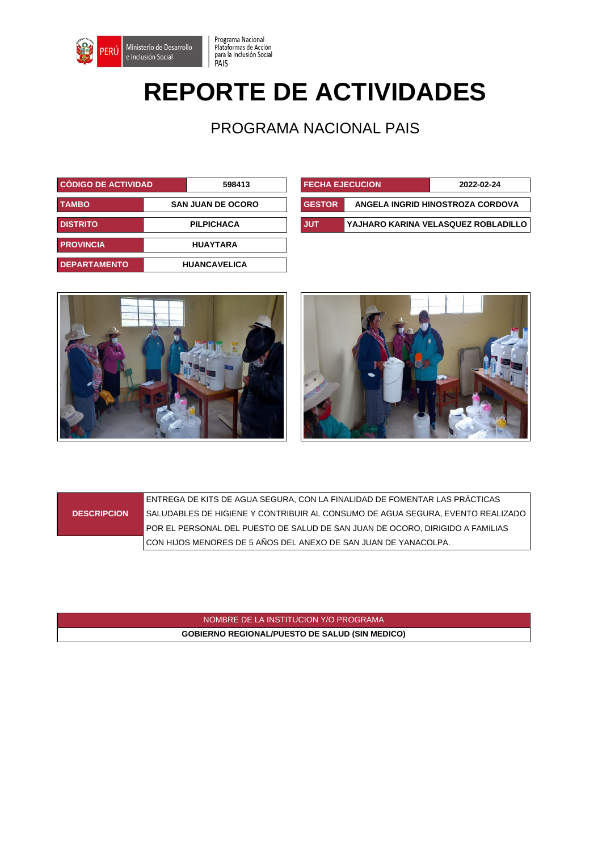

## **REPORTE DE ACTIVIDADES**

Programa Nacional<br>Plataformas de Acción<br>para la Inclusión Social<br>PAIS

PROGRAMA NACIONAL PAIS

| <b>CÓDIGO DE ACTIVIDAD</b><br>598413     |  |                     | <b>FECHA EJECUCION</b>           | 2022-02-24 |                                     |
|------------------------------------------|--|---------------------|----------------------------------|------------|-------------------------------------|
| <b>TAMBO</b><br><b>SAN JUAN DE OCORO</b> |  | <b>GESTOR</b>       | ANGELA INGRID HINOSTROZA CORDOVA |            |                                     |
| <b>DISTRITO</b>                          |  | <b>PILPICHACA</b>   | <b>JUT</b>                       |            | YAJHARO KARINA VELASQUEZ ROBLADILLO |
| <b>PROVINCIA</b>                         |  | <b>HUAYTARA</b>     |                                  |            |                                     |
| <b>DEPARTAMENTO</b>                      |  | <b>HUANCAVELICA</b> |                                  |            |                                     |

| <b>FECHA EJECUCION</b> |                                  | 2022-02-24                          |  |
|------------------------|----------------------------------|-------------------------------------|--|
| <b>GESTOR</b>          | ANGELA INGRID HINOSTROZA CORDOVA |                                     |  |
| <b>JUT</b>             |                                  | YAJHARO KARINA VELASQUEZ ROBLADILLO |  |





|                    | ENTREGA DE KITS DE AGUA SEGURA, CON LA FINALIDAD DE FOMENTAR LAS PRÁCTICAS       |
|--------------------|----------------------------------------------------------------------------------|
| <b>DESCRIPCION</b> | l SALUDABLES DE HIGIENE Y CONTRIBUIR AL CONSUMO DE AGUA SEGURA. EVENTO REALIZADO |
|                    | POR EL PERSONAL DEL PUESTO DE SALUD DE SAN JUAN DE OCORO. DIRIGIDO A FAMILIAS    |
|                    | ∣CON HIJOS MENORES DE 5 AÑOS DEL ANEXO DE SAN JUAN DE YANACOLPA.                 |

NOMBRE DE LA INSTITUCION Y/O PROGRAMA **GOBIERNO REGIONAL/PUESTO DE SALUD (SIN MEDICO)**